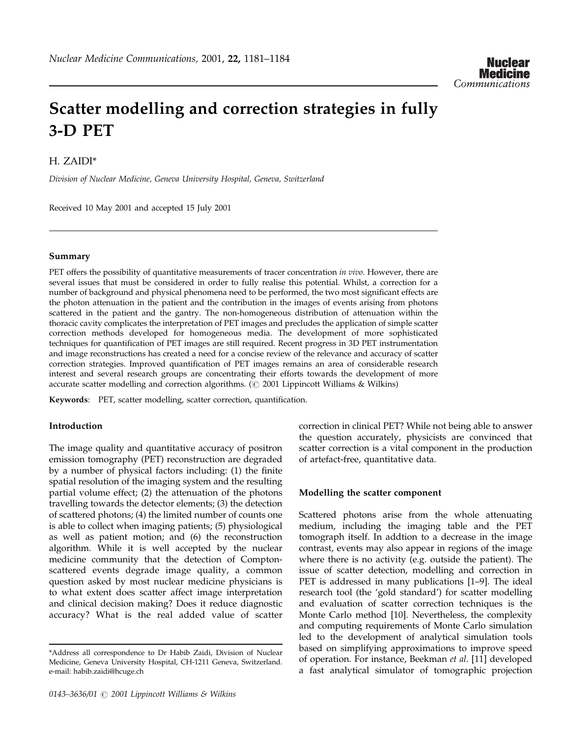Medicine Communications

# Scatter modelling and correction strategies in fully 3-D PET

H. ZAIDI\*

Division of Nuclear Medicine, Geneva University Hospital, Geneva, Switzerland

Received 10 May 2001 and accepted 15 July 2001

#### Summary

PET offers the possibility of quantitative measurements of tracer concentration in vivo. However, there are several issues that must be considered in order to fully realise this potential. Whilst, a correction for a number of background and physical phenomena need to be performed, the two most significant effects are the photon attenuation in the patient and the contribution in the images of events arising from photons scattered in the patient and the gantry. The non-homogeneous distribution of attenuation within the thoracic cavity complicates the interpretation of PET images and precludes the application of simple scatter correction methods developed for homogeneous media. The development of more sophisticated techniques for quantification of PET images are still required. Recent progress in 3D PET instrumentation and image reconstructions has created a need for a concise review of the relevance and accuracy of scatter correction strategies. Improved quantification of PET images remains an area of considerable research interest and several research groups are concentrating their efforts towards the development of more accurate scatter modelling and correction algorithms.  $(\odot$  2001 Lippincott Williams & Wilkins)

Keywords: PET, scatter modelling, scatter correction, quantification.

## Introduction

The image quality and quantitative accuracy of positron emission tomography (PET) reconstruction are degraded by a number of physical factors including: (1) the finite spatial resolution of the imaging system and the resulting partial volume effect; (2) the attenuation of the photons travelling towards the detector elements; (3) the detection of scattered photons; (4) the limited number of counts one is able to collect when imaging patients; (5) physiological as well as patient motion; and (6) the reconstruction algorithm. While it is well accepted by the nuclear medicine community that the detection of Comptonscattered events degrade image quality, a common question asked by most nuclear medicine physicians is to what extent does scatter affect image interpretation and clinical decision making? Does it reduce diagnostic accuracy? What is the real added value of scatter

correction in clinical PET? While not being able to answer the question accurately, physicists are convinced that scatter correction is a vital component in the production of artefact-free, quantitative data.

## Modelling the scatter component

Scattered photons arise from the whole attenuating medium, including the imaging table and the PET tomograph itself. In addtion to a decrease in the image contrast, events may also appear in regions of the image where there is no activity (e.g. outside the patient). The issue of scatter detection, modelling and correction in PET is addressed in many publications [1–9]. The ideal research tool (the 'gold standard') for scatter modelling and evaluation of scatter correction techniques is the Monte Carlo method [10]. Nevertheless, the complexity and computing requirements of Monte Carlo simulation led to the development of analytical simulation tools based on simplifying approximations to improve speed of operation. For instance, Beekman et al. [11] developed a fast analytical simulator of tomographic projection

<sup>\*</sup>Address all correspondence to Dr Habib Zaidi, Division of Nuclear Medicine, Geneva University Hospital, CH-1211 Geneva, Switzerland. e-mail: habib.zaidi@hcuge.ch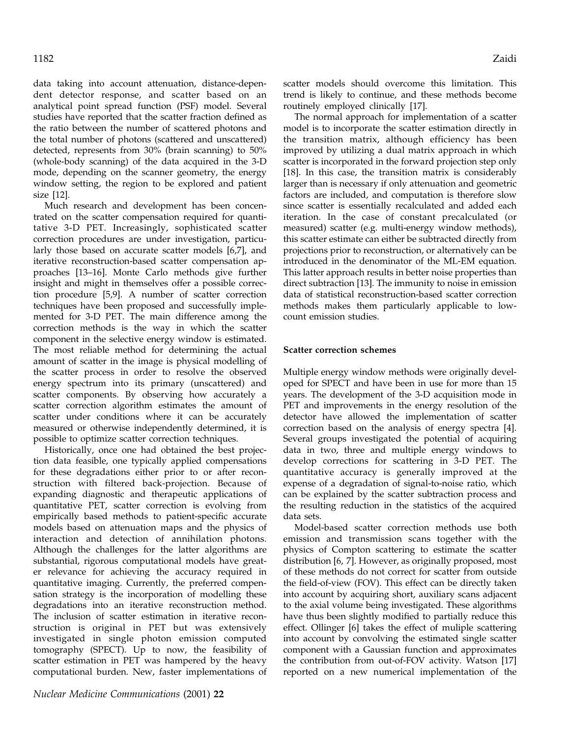data taking into account attenuation, distance-dependent detector response, and scatter based on an analytical point spread function (PSF) model. Several studies have reported that the scatter fraction defined as the ratio between the number of scattered photons and the total number of photons (scattered and unscattered) detected, represents from 30% (brain scanning) to 50% (whole-body scanning) of the data acquired in the 3-D mode, depending on the scanner geometry, the energy window setting, the region to be explored and patient size [12].

Much research and development has been concentrated on the scatter compensation required for quantitative 3-D PET. Increasingly, sophisticated scatter correction procedures are under investigation, particularly those based on accurate scatter models [6,7], and iterative reconstruction-based scatter compensation approaches [13-16]. Monte Carlo methods give further insight and might in themselves offer a possible correction procedure [5,9]. A number of scatter correction techniques have been proposed and successfully implemented for 3-D PET. The main difference among the correction methods is the way in which the scatter component in the selective energy window is estimated. The most reliable method for determining the actual amount of scatter in the image is physical modelling of the scatter process in order to resolve the observed energy spectrum into its primary (unscattered) and scatter components. By observing how accurately a scatter correction algorithm estimates the amount of scatter under conditions where it can be accurately measured or otherwise independently determined, it is possible to optimize scatter correction techniques.

Historically, once one had obtained the best projection data feasible, one typically applied compensations for these degradations either prior to or after reconstruction with filtered back-projection. Because of expanding diagnostic and therapeutic applications of quantitative PET, scatter correction is evolving from empirically based methods to patient-specific accurate models based on attenuation maps and the physics of interaction and detection of annihilation photons. Although the challenges for the latter algorithms are substantial, rigorous computational models have greater relevance for achieving the accuracy required in quantitative imaging. Currently, the preferred compensation strategy is the incorporation of modelling these degradations into an iterative reconstruction method. The inclusion of scatter estimation in iterative reconstruction is original in PET but was extensively investigated in single photon emission computed tomography (SPECT). Up to now, the feasibility of scatter estimation in PET was hampered by the heavy computational burden. New, faster implementations of scatter models should overcome this limitation. This trend is likely to continue, and these methods become routinely employed clinically [17].

The normal approach for implementation of a scatter model is to incorporate the scatter estimation directly in the transition matrix, although efficiency has been improved by utilizing a dual matrix approach in which scatter is incorporated in the forward projection step only [18]. In this case, the transition matrix is considerably larger than is necessary if only attenuation and geometric factors are included, and computation is therefore slow since scatter is essentially recalculated and added each iteration. In the case of constant precalculated (or measured) scatter (e.g. multi-energy window methods), this scatter estimate can either be subtracted directly from projections prior to reconstruction, or alternatively can be introduced in the denominator of the ML-EM equation. This latter approach results in better noise properties than direct subtraction [13]. The immunity to noise in emission data of statistical reconstruction-based scatter correction methods makes them particularly applicable to lowcount emission studies.

# Scatter correction schemes

Multiple energy window methods were originally developed for SPECT and have been in use for more than 15 years. The development of the 3-D acquisition mode in PET and improvements in the energy resolution of the detector have allowed the implementation of scatter correction based on the analysis of energy spectra [4]. Several groups investigated the potential of acquiring data in two, three and multiple energy windows to develop corrections for scattering in 3-D PET. The quantitative accuracy is generally improved at the expense of a degradation of signal-to-noise ratio, which can be explained by the scatter subtraction process and the resulting reduction in the statistics of the acquired data sets.

Model-based scatter correction methods use both emission and transmission scans together with the physics of Compton scattering to estimate the scatter distribution [6, 7]. However, as originally proposed, most of these methods do not correct for scatter from outside the field-of-view (FOV). This effect can be directly taken into account by acquiring short, auxiliary scans adjacent to the axial volume being investigated. These algorithms have thus been slightly modified to partially reduce this effect. Ollinger [6] takes the effect of muliple scattering into account by convolving the estimated single scatter component with a Gaussian function and approximates the contribution from out-of-FOV activity. Watson [17] reported on a new numerical implementation of the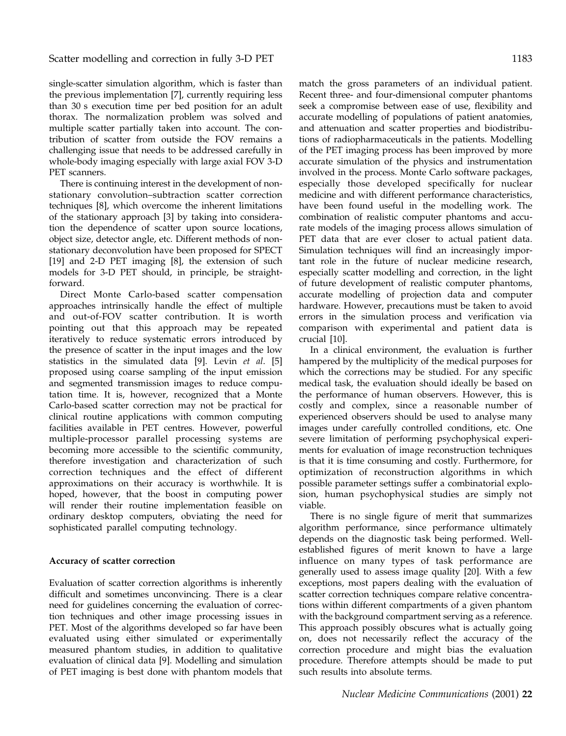single-scatter simulation algorithm, which is faster than the previous implementation [7], currently requiring less than 30 s execution time per bed position for an adult thorax. The normalization problem was solved and multiple scatter partially taken into account. The contribution of scatter from outside the FOV remains a challenging issue that needs to be addressed carefully in whole-body imaging especially with large axial FOV 3-D PET scanners.

There is continuing interest in the development of nonstationary convolution-subtraction scatter correction techniques [8], which overcome the inherent limitations of the stationary approach [3] by taking into consideration the dependence of scatter upon source locations, object size, detector angle, etc. Different methods of nonstationary deconvolution have been proposed for SPECT [19] and 2-D PET imaging [8], the extension of such models for 3-D PET should, in principle, be straightforward.

Direct Monte Carlo-based scatter compensation approaches intrinsically handle the effect of multiple and out-of-FOV scatter contribution. It is worth pointing out that this approach may be repeated iteratively to reduce systematic errors introduced by the presence of scatter in the input images and the low statistics in the simulated data [9]. Levin et al. [5] proposed using coarse sampling of the input emission and segmented transmission images to reduce computation time. It is, however, recognized that a Monte Carlo-based scatter correction may not be practical for clinical routine applications with common computing facilities available in PET centres. However, powerful multiple-processor parallel processing systems are becoming more accessible to the scientific community, therefore investigation and characterization of such correction techniques and the effect of different approximations on their accuracy is worthwhile. It is hoped, however, that the boost in computing power will render their routine implementation feasible on ordinary desktop computers, obviating the need for sophisticated parallel computing technology.

#### Accuracy of scatter correction

Evaluation of scatter correction algorithms is inherently difficult and sometimes unconvincing. There is a clear need for guidelines concerning the evaluation of correction techniques and other image processing issues in PET. Most of the algorithms developed so far have been evaluated using either simulated or experimentally measured phantom studies, in addition to qualitative evaluation of clinical data [9]. Modelling and simulation of PET imaging is best done with phantom models that

match the gross parameters of an individual patient. Recent three- and four-dimensional computer phantoms seek a compromise between ease of use, flexibility and accurate modelling of populations of patient anatomies, and attenuation and scatter properties and biodistributions of radiopharmaceuticals in the patients. Modelling of the PET imaging process has been improved by more accurate simulation of the physics and instrumentation involved in the process. Monte Carlo software packages, especially those developed specifically for nuclear medicine and with different performance characteristics, have been found useful in the modelling work. The combination of realistic computer phantoms and accurate models of the imaging process allows simulation of PET data that are ever closer to actual patient data. Simulation techniques will find an increasingly important role in the future of nuclear medicine research, especially scatter modelling and correction, in the light of future development of realistic computer phantoms, accurate modelling of projection data and computer hardware. However, precautions must be taken to avoid errors in the simulation process and verification via comparison with experimental and patient data is crucial [10].

In a clinical environment, the evaluation is further hampered by the multiplicity of the medical purposes for which the corrections may be studied. For any specific medical task, the evaluation should ideally be based on the performance of human observers. However, this is costly and complex, since a reasonable number of experienced observers should be used to analyse many images under carefully controlled conditions, etc. One severe limitation of performing psychophysical experiments for evaluation of image reconstruction techniques is that it is time consuming and costly. Furthermore, for optimization of reconstruction algorithms in which possible parameter settings suffer a combinatorial explosion, human psychophysical studies are simply not viable.

There is no single figure of merit that summarizes algorithm performance, since performance ultimately depends on the diagnostic task being performed. Wellestablished figures of merit known to have a large influence on many types of task performance are generally used to assess image quality [20]. With a few exceptions, most papers dealing with the evaluation of scatter correction techniques compare relative concentrations within different compartments of a given phantom with the background compartment serving as a reference. This approach possibly obscures what is actually going on, does not necessarily reflect the accuracy of the correction procedure and might bias the evaluation procedure. Therefore attempts should be made to put such results into absolute terms.